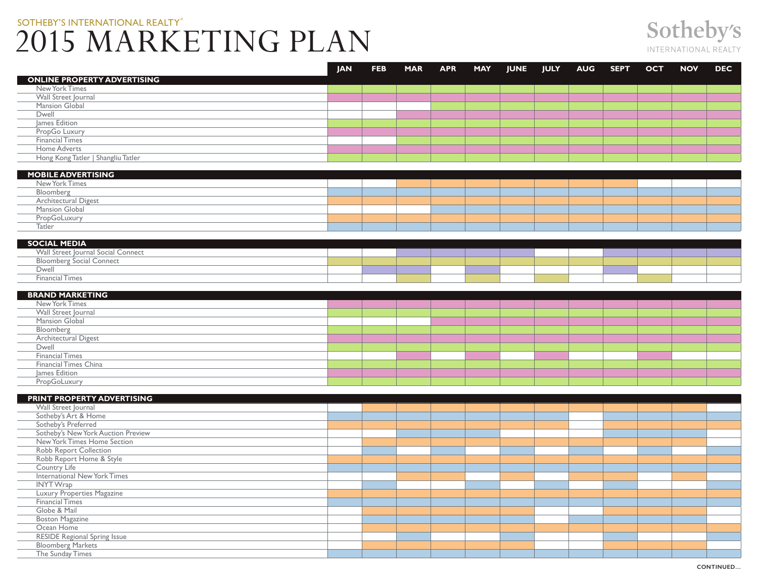## SOTHEBY'S INTERNATIONAL REALTY® 2015 MARKETING PLAN

|                                     | <b>JAN</b> | <b>FEB</b> | <b>MAR</b> | <b>APR</b> | <b>MAY</b> | <b>JUNE</b>                                                                                                           | <b>JULY</b> | <b>AUG</b> | <b>SEPT</b> | <b>OCT</b> | <b>NOV</b> | <b>DEC</b> |
|-------------------------------------|------------|------------|------------|------------|------------|-----------------------------------------------------------------------------------------------------------------------|-------------|------------|-------------|------------|------------|------------|
| <b>ONLINE PROPERTY ADVERTISING</b>  |            |            |            |            |            |                                                                                                                       |             |            |             |            |            |            |
| New York Times                      |            |            |            |            |            |                                                                                                                       |             |            |             |            |            |            |
| Wall Street Journal                 |            |            |            |            |            |                                                                                                                       |             |            |             |            |            |            |
| Mansion Global                      |            |            |            |            |            |                                                                                                                       |             |            |             |            |            |            |
| Dwell                               |            |            |            |            |            |                                                                                                                       |             |            |             |            |            |            |
| James Edition                       |            |            |            |            |            |                                                                                                                       |             |            |             |            |            |            |
| PropGo Luxury                       |            |            |            |            |            |                                                                                                                       |             |            |             |            |            |            |
| <b>Financial Times</b>              |            |            |            |            |            |                                                                                                                       |             |            |             |            |            |            |
| Home Adverts                        |            |            |            |            |            |                                                                                                                       |             |            |             |            |            |            |
| Hong Kong Tatler   Shangliu Tatler  |            |            |            |            |            |                                                                                                                       |             |            |             |            |            |            |
|                                     |            |            |            |            |            |                                                                                                                       |             |            |             |            |            |            |
| <b>MOBILE ADVERTISING</b>           |            |            |            |            |            |                                                                                                                       |             |            |             |            |            |            |
| New York Times                      |            |            |            |            |            |                                                                                                                       |             |            |             |            |            |            |
| Bloomberg                           |            |            |            |            |            |                                                                                                                       |             |            |             |            |            |            |
| Architectural Digest                |            |            |            |            |            |                                                                                                                       |             |            |             |            |            |            |
| Mansion Global                      |            |            |            |            |            |                                                                                                                       |             |            |             |            |            |            |
| PropGoLuxury                        |            |            |            |            |            |                                                                                                                       |             |            |             |            |            |            |
| Tatler                              |            |            |            |            |            |                                                                                                                       |             |            |             |            |            |            |
|                                     |            |            |            |            |            |                                                                                                                       |             |            |             |            |            |            |
| <b>SOCIAL MEDIA</b>                 |            |            |            |            |            |                                                                                                                       |             |            |             |            |            |            |
| Wall Street Journal Social Connect  |            |            |            |            |            |                                                                                                                       |             |            |             |            |            |            |
| <b>Bloomberg Social Connect</b>     |            |            |            |            |            |                                                                                                                       |             |            |             |            |            |            |
| Dwell                               |            |            |            |            |            |                                                                                                                       |             |            |             |            |            |            |
| <b>Financial Times</b>              |            |            |            |            |            |                                                                                                                       |             |            |             |            |            |            |
|                                     |            |            |            |            |            |                                                                                                                       |             |            |             |            |            |            |
| <b>BRAND MARKETING</b>              |            |            |            |            |            |                                                                                                                       |             |            |             |            |            |            |
| New York Times                      |            |            |            |            |            |                                                                                                                       |             |            |             |            |            |            |
| Wall Street Journal                 |            |            |            |            |            |                                                                                                                       |             |            |             |            |            |            |
| Mansion Global                      |            |            |            |            |            |                                                                                                                       |             |            |             |            |            |            |
| Bloomberg                           |            |            |            |            |            |                                                                                                                       |             |            |             |            |            |            |
| Architectural Digest                |            |            |            |            |            |                                                                                                                       |             |            |             |            |            |            |
| Dwell                               |            |            |            |            |            |                                                                                                                       |             |            |             |            |            |            |
| <b>Financial Times</b>              |            |            |            |            |            |                                                                                                                       |             |            |             |            |            |            |
| Financial Times China               |            |            |            |            |            |                                                                                                                       |             |            |             |            |            |            |
| James Edition                       |            |            |            |            |            |                                                                                                                       |             |            |             |            |            |            |
| PropGoLuxury                        |            |            |            |            |            |                                                                                                                       |             |            |             |            |            |            |
|                                     |            |            |            |            |            |                                                                                                                       |             |            |             |            |            |            |
| <b>PRINT PROPERTY ADVERTISING</b>   |            |            |            |            |            |                                                                                                                       |             |            |             |            |            |            |
| Wall Street Journal                 |            |            |            |            |            |                                                                                                                       |             |            |             |            |            |            |
| Sotheby's Art & Home                |            |            |            |            |            |                                                                                                                       |             |            |             |            |            |            |
| Sotheby's Preferred                 |            |            |            |            |            |                                                                                                                       |             |            |             |            |            |            |
| Sotheby's New York Auction Preview  |            |            |            |            |            |                                                                                                                       |             |            |             |            |            |            |
| New York Times Home Section         |            |            |            |            |            |                                                                                                                       |             |            |             |            |            |            |
| Robb Report Collection              |            |            |            |            |            |                                                                                                                       |             |            |             |            |            |            |
| Robb Report Home & Style            |            |            |            |            |            |                                                                                                                       |             |            |             |            |            |            |
| Country Life                        |            |            |            |            |            |                                                                                                                       |             |            |             |            |            |            |
| International New York Times        |            |            |            |            |            |                                                                                                                       |             |            |             |            |            |            |
| <b>INYTWrap</b>                     |            |            |            |            |            |                                                                                                                       |             |            |             |            |            |            |
| Luxury Properties Magazine          |            |            |            |            |            |                                                                                                                       |             |            |             |            |            |            |
| Financial Times                     |            |            |            |            |            |                                                                                                                       |             |            |             |            |            |            |
| Globe & Mail                        |            |            |            |            |            |                                                                                                                       |             |            |             |            |            |            |
| <b>Boston Magazine</b>              |            |            |            |            |            |                                                                                                                       |             |            |             |            |            |            |
| Ocean Home                          |            |            |            |            |            |                                                                                                                       |             |            |             |            |            |            |
| <b>RESIDE Regional Spring Issue</b> |            |            |            |            |            | <b>Contract Contract Contract Contract Contract Contract Contract Contract Contract Contract Contract Contract Co</b> |             |            |             |            |            |            |
| <b>Bloomberg Markets</b>            |            |            |            |            |            |                                                                                                                       |             |            |             |            |            |            |
| The Sunday Times                    |            |            |            |            |            |                                                                                                                       |             |            |             |            |            |            |